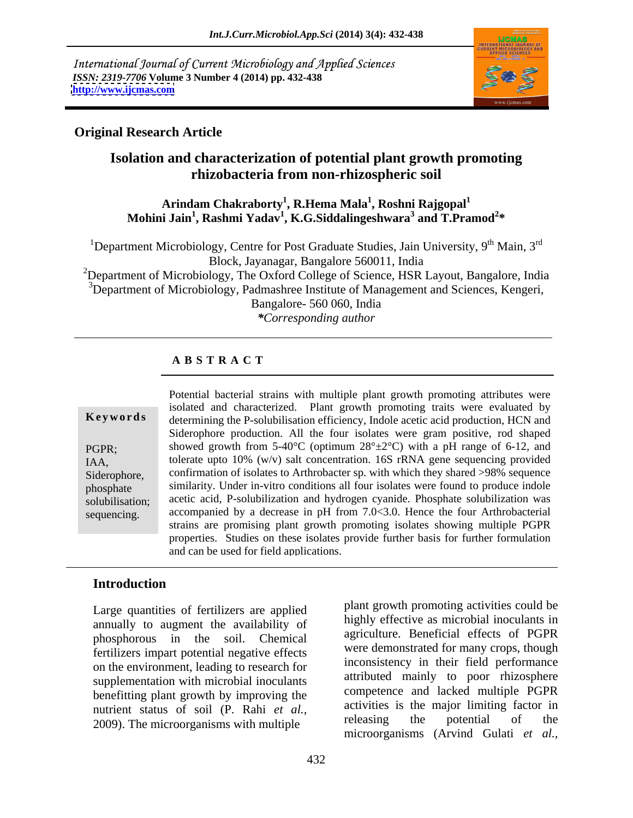International Journal of Current Microbiology and Applied Sciences *ISSN: 2319-7706* **Volume 3 Number 4 (2014) pp. 432-438 <http://www.ijcmas.com>**



### **Original Research Article**

### **Isolation and characterization of potential plant growth promoting rhizobacteria from non-rhizospheric soil**

### $\bold{Arindam Chakraborty}^1\bold{,} \bold{R}.\bold{Hema Mala}^1\bold{,} \bold{Roshni Rajgopal}^1$ **, Roshni Rajgopal<sup>1</sup> Mohini Jain<sup>1</sup> , Rashmi Yadav<sup>1</sup> , K.G.Siddalingeshwara<sup>3</sup> and T.Pramod<sup>2</sup> \***

<sup>1</sup>Department Microbiology, Centre for Post Graduate Studies, Jain University, 9<sup>th</sup> Main, 3<sup>rd</sup> Block, Jayanagar, Bangalore 560011, India

<sup>2</sup>Department of Microbiology, The Oxford College of Science, HSR Layout, Bangalore, India  $3D$ epartment of Microbiology, Padmashree Institute of Management and Sciences, Kengeri, Bangalore- 560 060, India

*\*Corresponding author*

### **A B S T R A C T**

**Ke ywo rds** determining the P-solubilisation efficiency, Indole acetic acid production, HCN and PGPR; showed growth from 5-40°C (optimum  $28^{\circ} \pm 2^{\circ}$ C) with a pH range of 6-12, and IAA, tolerate upto 10% (w/v) salt concentration. 16S rRNA gene sequencing provided Siderophore, confirmation of isolates to Arthrobacter sp. with which they shared >98% sequence phosphate similarity. Under in-vitro conditions all four isolates were found to produce indole solubilisation; acetic acid, P-solubilization and hydrogen cyanide. Phosphate solubilization was sequencing. accompanied by a decrease in pH from 7.0<3.0. Hence the four Arthrobacterial Potential bacterial strains with multiple plant growth promoting attributes were isolated and characterized. Plant growth promoting traits were evaluated by Siderophore production. All the four isolates were gram positive, rod shaped strains are promising plant growth promoting isolates showing multiple PGPR properties. Studies on these isolates provide further basis for further formulation and can be used for field applications.

### **Introduction**

Large quantities of fertilizers are applied annually to augment the availability of phosphorous in the soil. Chemical fertilizers impart potential negative effects on the environment, leading to research for supplementation with microbial inoculants benefitting plant growth by improving the nutrient status of soil (P. Rahi *et al.*,<br>2000) The migroeneousness with multiple and releasing the potential of the 2009). The microorganisms with multiple

plant growth promoting activities could be highly effective as microbial inoculants in agriculture. Beneficial effects of PGPR were demonstrated for many crops, though inconsistency in their field performance attributed mainly to poor rhizosphere competence and lacked multiple PGPR activities is the major limiting factor in releasing the potential of the microorganisms (Arvind Gulati *et al.,*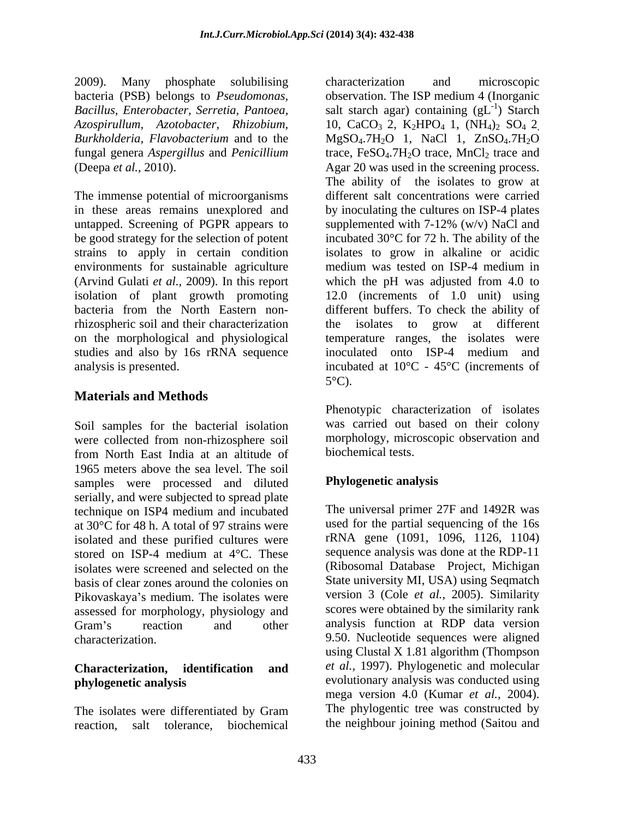2009). Many phosphate solubilising bacteria (PSB) belongs to *Pseudomonas, Azospirullum, Azotobacter, Rhizobium, Burkholderia, Flavobacterium* and to the fungal genera *Aspergillus* and *Penicillium*

The immense potential of microorganisms in these areas remains unexplored and untapped. Screening of PGPR appears to supplemented with  $7-12\%$  (w/v) NaCl and be good strategy for the selection of potent environments for sustainable agriculture medium was tested on ISP-4 medium in (Arvind Gulati *et al.,* 2009). In this report rhizospheric soil and their characterization the isolates to grow at different on the morphological and physiological studies and also by 16s rRNA sequence inoculated onto ISP-4 medium and

### **Materials and Methods**

Soil samples for the bacterial isolation were collected from non-rhizosphere soil from North East India at an altitude of 1965 meters above the sea level. The soil samples were processed and diluted serially, and were subjected to spread plate technique on ISP4 medium and incubated at 30°C for 48 h. A total of 97 strains were isolated and these purified cultures were stored on ISP-4 medium at 4°C. These sequence analysis was done at the RDP-11 isolates were screened and selected on the basis of clear zones around the colonies on Pikovaskaya's medium. The isolates were assessed for morphology, physiology and Gram's reaction and other analysis function at RDP data version

reaction, salt tolerance, biochemical the neighbour joining method (Saitou and

*Bacillus, Enterobacter, Serretia, Pantoea,* salt starch agar) containing (gL (Deepa *et al.,* 2010). Agar 20 was used in the screening process. strains to apply in certain condition isolates to grow in alkaline or acidic isolation of plant growth promoting 12.0 (increments of 1.0 unit) using bacteria from the North Eastern non-different buffers. To check the ability of analysis is presented. incubated at 10°C - 45°C (increments of characterization and microscopic observation. The ISP medium 4 (Inorganic  $-1$   $\lambda$   $\alpha$   $\alpha$   $\beta$ ) Starch 10, CaCO<sub>3</sub> 2, K<sub>2</sub>HPO<sub>4</sub> 1, (NH<sub>4</sub>)<sub>2</sub> SO<sub>4</sub> 2<sub>,</sub> MgSO<sub>4</sub>.7H<sub>2</sub>O 1, NaCl 1, ZnSO<sub>4</sub>.7H<sub>2</sub>O trace,  $FeSO<sub>4</sub>$ .7H<sub>2</sub>O trace, MnCl<sub>2</sub> trace and The ability of the isolates to grow at different salt concentrations were carried by inoculating the cultures on ISP-4 plates supplemented with 7-12% (w/v) NaCl and incubated 30°C for 72 h. The ability of the medium was tested on ISP-4 medium in which the pH was adjusted from 4.0 to the isolates to grow at different temperature ranges, the isolates were inoculated onto ISP-4 medium and  $5^{\circ}$ C).

> Phenotypic characterization of isolates was carried out based on their colony morphology, microscopic observation and biochemical tests.

### **Phylogenetic analysis**

characterization. 9.50. Nucleotide sequences were aligned **Characterization, identification and** *et al.,* 1997). Phylogenetic and molecular **phylogenetic analysis** evolutionary analysis was conducted using The isolates were differentiated by Gram The phylogentic tree was constructed by The universal primer 27F and 1492R was used for the partial sequencing of the 16s rRNA gene (1091, 1096, 1126, 1104) sequence analysis was done at the RDP-11 (Ribosomal Database Project, Michigan State university MI, USA) using Seqmatch version 3 (Cole *et al.,* 2005). Similarity scores were obtained by the similarity rank analysis function at RDP data version using Clustal X 1.81 algorithm (Thompson mega version 4.0 (Kumar *et al.,* 2004). The phylogentic tree was constructed by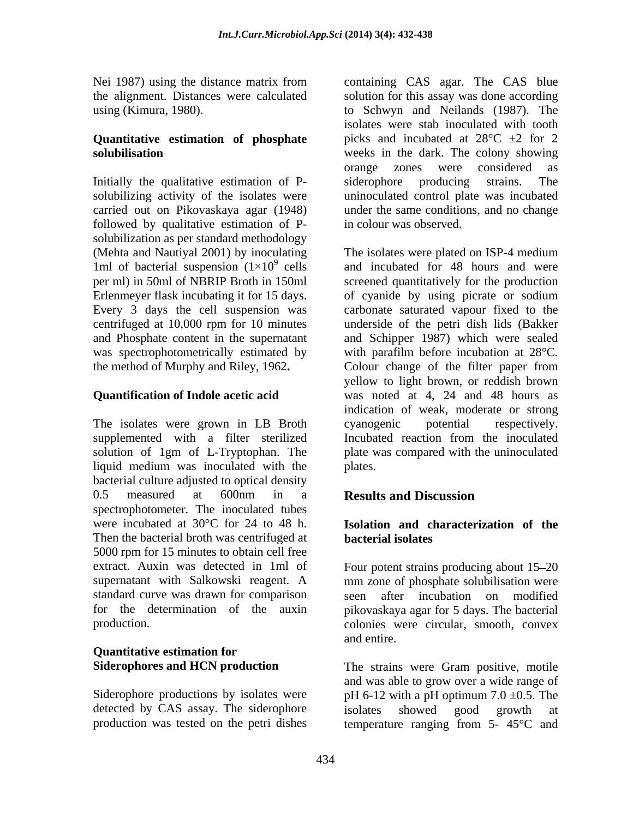# **Quantitative estimation of phosphate**

Initially the qualitative estimation of P-<br>siderophore producing strains. The carried out on Pikovaskaya agar (1948) followed by qualitative estimation of P solubilization as per standard methodology (Mehta and Nautiyal 2001) by inoculating 1ml of bacterial suspension  $(1\times10^9 \text{ cells})$ <br>per ml) in 50ml of NBRIP Broth in 150ml

### **Quantification of Indole acetic acid**

The isolates were grown in LB Broth cyanogenic potential respectively. supplemented with a filter sterilized Incubated reaction from the inoculated liquid medium was inoculated with the bacterial culture adjusted to optical density 0.5 measured at 600nm in a **Results and Discussion** spectrophotometer. The inoculated tubes were incubated at  $30^{\circ}$ C for 24 to 48 h.<br>Then the bacterial broth was centrifuged at **bacterial isolates** 5000 rpm for 15 minutes to obtain cell free extract. Auxin was detected in 1ml of Four potent strains producing about 15–20 supernatant with Salkowski reagent. A mm zone of phosphate solubilisation were standard curve was drawn for comparison for the determination of the auxin pikovaskaya agar for 5 days. The bacterial

## **Quantitative estimation for**

detected by CAS assay. The siderophore isolates showed good growth at

Nei 1987) using the distance matrix from containing CAS agar. The CAS blue the alignment. Distances were calculated solution for this assay was done according using (Kimura, 1980). to Schwyn and Neilands (1987). The **solubilisation**  weeks in the dark. The colony showing solubilizing activity of the isolates were uninoculated control plate was incubated isolates were stab inoculated with tooth picks and incubated at  $28^{\circ}$ C  $\pm$ 2 for 2 orange zones were considered as siderophore producing strains. The under the same conditions, and no change in colour was observed.

cells and incubated for 48 hours and were per ml) in 50ml of NBRIP Broth in 150ml screened quantitatively for the production Erlenmeyer flask incubating it for 15 days. of cyanide by using picrate or sodium Every 3 days the cell suspension was carbonate saturated vapour fixed to the centrifuged at 10,000 rpm for 10 minutes underside of the petri dish lids (Bakker and Phosphate content in the supernatant and Schipper 1987) which were sealed was spectrophotometrically estimated by with parafilm before incubation at 28°C. the method of Murphy and Riley, 1962**.** Colour change of the filter paper from solution of 1gm of L-Tryptophan. The plate was compared with the uninoculated The isolates were plated on ISP-4 medium yellow to light brown, or reddish brown was noted at 4, 24 and 48 hours as indication of weak, moderate or strong cyanogenic potential respectively. Incubated reaction from the inoculated plates.

### **Results and Discussion**

### **Isolation and characterization of the bacterial isolates**

production. colonies were circular, smooth, convex after incubation on modified and entire.

**Siderophores and HCN production** The strains were Gram positive, motile Siderophore productions by isolates were  $pH 6-12$  with a pH optimum 7.0  $\pm$ 0.5. The production was tested on the petri dishes temperature ranging from 5- 45°C andand was able to grow over a wide range of isolates showed good growth at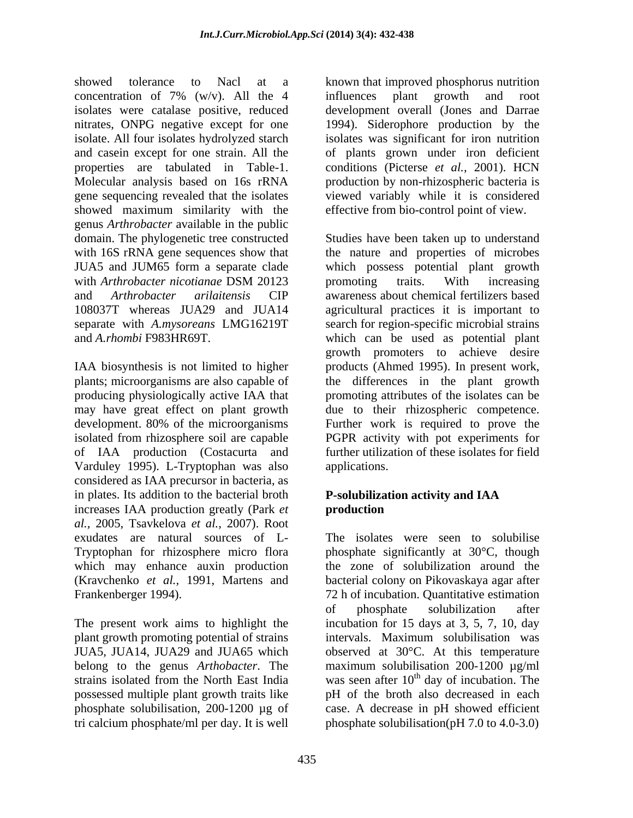showed tolerance to Nacl at a known that improved phosphorus nutrition concentration of 7% (w/v). All the 4 isolates were catalase positive, reduced development overall (Jones and Darrae nitrates, ONPG negative except for one 1994). Siderophore production by the isolate. All four isolates hydrolyzed starch isolates was significant for iron nutrition and casein except for one strain. All the of plants grown under iron deficient properties are tabulated in Table-1. conditions (Picterse *et al.,* 2001). HCN Molecular analysis based on 16s rRNA production by non-rhizospheric bacteria is gene sequencing revealed that the isolates viewed variably while it is considered showed maximum similarity with the genus *Arthrobacter* available in the public domain. The phylogenetic tree constructed Studies have been taken up to understand with 16S rRNA gene sequences show that the nature and properties of microbes JUA5 and JUM65 form a separate clade which possess potential plant growth with *Arthrobacter nicotianae* DSM 20123 and *Arthrobacter arilaitensis* CIP awareness about chemical fertilizers based 108037T whereas JUA29 and JUA14 agricultural practices it is important to separate with *A.mysoreans* LMG16219T search for region-specific microbial strains and *A.rhombi* F983HR69T. which can be used as potential plant

producing physiologically active IAA that of IAA production (Costacurta and Varduley 1995). L-Tryptophan was also considered as IAA precursor in bacteria, as in plates. Its addition to the bacterial broth increases IAA production greatly (Park *et al.,* 2005, Tsavkelova *et al.,* 2007).Root exudates are natural sources of L- Tryptophan for rhizosphere micro flora phosphate significantly at 30°C, though which may enhance auxin production the zone of solubilization around the (Kravchenko *et al.*, 1991, Martens and bacterial colony on Pikovaskaya agar after Frankenberger 1994). 72 h of incubation. Quantitative estimation

plant growth promoting potential of strains intervals. Maximum solubilisation was tri calcium phosphate/ml per day. It is well phosphate solubilisation(pH 7.0 to 4.0-3.0)

influences plant growth and root effective from bio-control point of view.

IAA biosynthesis is not limited to higher products (Ahmed 1995). In present work, plants; microorganisms are also capable of the differences in the plant growth may have great effect on plant growth due to their rhizospheric competence. development. 80% of the microorganisms Further work is required to prove the isolated from rhizosphere soil are capable PGPR activity with pot experiments for promoting traits. With increasing growth promoters to achieve desire promoting attributes of the isolates can be further utilization of these isolates for field applications.

### **P-solubilization activity and IAA production**

The present work aims to highlight the incubation for 15 days at 3, 5, 7, 10, day JUA5, JUA14, JUA29 and JUA65 which observed at 30°C. At this temperature belong to the genus *Arthobacter*. The maximum solubilisation 200-1200 µg/ml strains isolated from the North East India was seen after  $10<sup>th</sup>$  day of incubation. The possessed multiple plant growth traits like pH of the broth also decreased in each phosphate solubilisation, 200-1200 µg of case. A decrease in pH showed efficient The isolates were seen to solubilise of phosphate solubilization after intervals. Maximum solubilisation was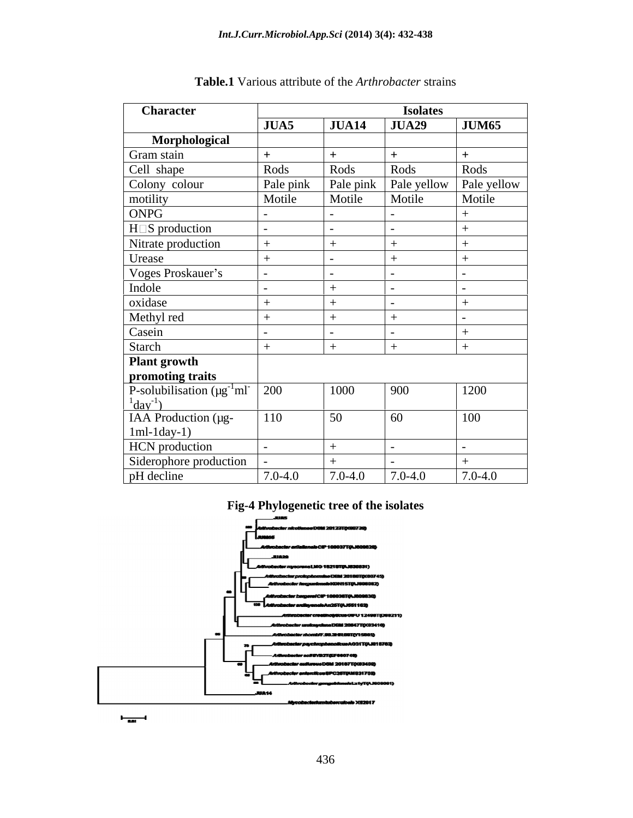| <b>Character</b>                                                  | <b>Isolates</b> |             |                                       |              |
|-------------------------------------------------------------------|-----------------|-------------|---------------------------------------|--------------|
|                                                                   | JUA5            | JUA14       | <b>JUA29</b>                          | <b>JUM65</b> |
| Morphological                                                     |                 |             |                                       |              |
| Gram stain                                                        |                 |             |                                       |              |
| Cell shape                                                        | Rods            | Rods        | Rods                                  | Rods         |
| Colony colour                                                     | Pale pink       |             | Pale pink   Pale yellow   Pale yellow |              |
| motility                                                          | Motile          | Motile      | Motile                                | Motile       |
| ONPG                                                              |                 |             |                                       |              |
| H S production                                                    |                 |             |                                       |              |
| Nitrate production                                                |                 |             |                                       |              |
| Urease                                                            |                 |             |                                       |              |
| Voges Proskauer's                                                 |                 |             |                                       |              |
| Indole                                                            |                 |             |                                       |              |
| oxidase                                                           |                 |             |                                       |              |
| Methyl red                                                        |                 |             |                                       |              |
| Casein                                                            |                 |             |                                       |              |
| Starch                                                            |                 |             |                                       |              |
| Plant growth                                                      |                 |             |                                       |              |
| promoting traits                                                  |                 |             |                                       |              |
| P-solubilisation $(\mu g^{-1}ml^{-1200)$<br>$\frac{1}{2}day^{-1}$ |                 | 1000        | 900                                   | 1200         |
| IAA Production (µg-                                               | 110             | 50          | 60                                    | 100          |
| $1ml-1day-1)$                                                     |                 |             |                                       |              |
| <b>HCN</b> production                                             |                 |             |                                       |              |
| Siderophore production                                            |                 |             |                                       |              |
| pH decline                                                        | $7.0 - 4.0$     | $7.0 - 4.0$ | $7.0 - 4.0$                           | $7.0 - 4.0$  |

| Table.1<br>Variou.<br>∙strains<br>attribute of the<br>. the <i>Arthrobacter</i> |  |
|---------------------------------------------------------------------------------|--|
|---------------------------------------------------------------------------------|--|

### **Fig-4 Phylogenetic tree of the isolates**



 $\frac{1}{\log n}$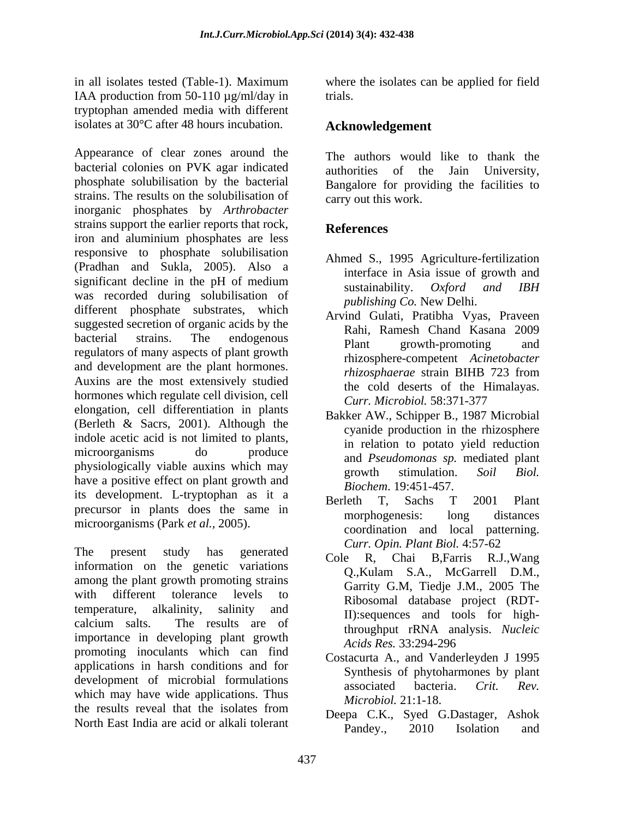in all isolates tested (Table-1). Maximum where the isolates can be applied for field IAA production from 50-110  $\mu$ g/ml/day in trials. tryptophan amended media with different isolates at 30°C after 48 hours incubation.

Appearance of clear zones around the bacterial colonies on PVK agar indicated authorities of the Jain University, phosphate solubilisation by the bacterial strains. The results on the solubilisation of inorganic phosphates by *Arthrobacter* strains support the earlier reports that rock, **References** iron and aluminium phosphates are less responsive to phosphate solubilisation (Pradhan and Sukla, 2005). Also a significant decline in the pH of medium<br>sustainability  $Orford$  and  $IRH$ significant decime in the prior medium<br>was recorded during solubilisation of  $\begin{array}{c} \text{sustainability.} \quad Oxford \quad and \quad IBH \\ \text{was recorded during subbilsation of \end{array}$ different phosphate substrates, which suggested secretion of organic acids by the bacterial strains. The endogenous hand result becomes and bacterial strains. The endogenous plant growth-promoting and regulators of many aspects of plant growth  $\frac{1}{2}$ and development are the plant hormones.<br> *hizosphaerae* strain BIHB 723 from Auxins are the most extensively studied hormones which regulate cell division, cell elongation, cell differentiation in plants (Berleth & Sacrs, 2001). Although the indole acetic acid is not limited to plants, microorganisms do produce in teaching pour federal phonons of the magnetic policy of the magnetic mediated plant physiologically viable auxins which may<br>growth stimulation. Soil Biol. have a positive effect on plant growth and its development. L-tryptophan as it a<br>Berleth T. Sachs T 2001 Plant precursor in plants does the same in the morphogenesis: long distances microorganisms (Park *et al.,* 2005).

The present study has generated  $C_{\text{obs}} = R_{\text{free}} = R_{\text{free}} = R_{\text{Map}}$ information on the genetic variations<br>
O.Kulam S.A., McGarrell D.M., among the plant growth promoting strains with different tolerance levels to  $\frac{\text{Gumb}}{\text{Bihogomal}}$  database project (PDT) temperature, alkalinity, salinity and  $\frac{1}{1}$  is the solution of the sequences and tools for high calcium salts. The results are of  $\frac{m}{\epsilon}$  throughout  $rDNA$  analysis Nucleic importance in developing plant growth<br>Acids Res. 33:294-296 promoting inoculants which can find applications in harsh conditions and for development of microbial formulations<br>associated bacteria. Crit. Rev. which may have wide applications. Thus the results reveal that the isolates from  $\sum_{P=0}^{MECLOLOE}$   $\sum_{S=1}^{NICLOLOE}$   $\sum_{S=1}^{NICLOLOE}$   $\sum_{S=1}^{NICLOLOE}$ 

trials.

### **Acknowledgement**

The authors would like to thank the authorities of the Jain University, Bangalore for providing the facilities to carry out this work.

## **References**

- Ahmed S., 1995 Agriculture-fertilization interface in Asia issue of growth and sustainability. *Oxford and IBH publishing Co.* New Delhi.
- Arvind Gulati, Pratibha Vyas, Praveen Rahi, Ramesh Chand Kasana 2009 Plant growth-promoting and rhizosphere-competent *Acinetobacter rhizosphaerae* strain BIHB 723 from the cold deserts of the Himalayas. *Curr. Microbiol.* 58:371-377
- Bakker AW., Schipper B., 1987 Microbial cyanide production in the rhizosphere in relation to potato yield reduction and *Pseudomonas sp.* mediated plant growth stimulation. *Soil Biol. Biochem*. 19:451-457.
- Berleth T, Sachs T 2001 Plant morphogenesis: long distances coordination and local patterning. *Curr. Opin. Plant Biol.* 4:57-62
- Cole R, Chai B,Farris R.J.,Wang Q.,Kulam S.A., McGarrell D.M., Garrity G.M, Tiedje J.M., 2005 The Ribosomal database project (RDT-II):sequences and tools for highthroughput rRNA analysis. *Nucleic Acids Res.* 33:294-296
- Costacurta A., and Vanderleyden J 1995 Synthesis of phytoharmones by plant associated bacteria. *Crit. Rev. Microbiol.* 21:1-18.
- North East India are acid or alkali tolerant<br>Pandey., 2010 Isolation and Deepa C.K., Syed G.Dastager, Ashok Pandey., 2010 Isolation and